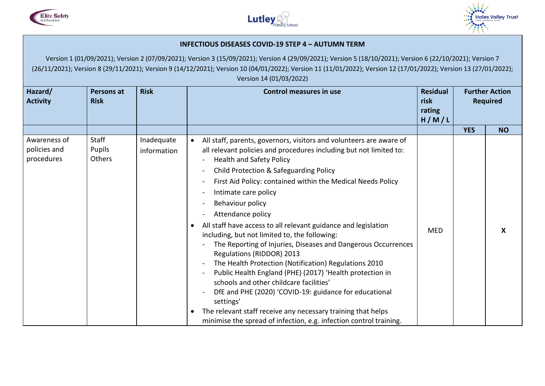





## **INFECTIOUS DISEASES COVID-19 STEP 4 – AUTUMN TERM**

| Hazard/<br><b>Activity</b><br><b>Risk</b>  |                           | <b>Risk</b><br>Persons at | <b>Control measures in use</b>                                                                                                                                                                                                                                                                                                                                                                                                                                                                                                                                                                                                                                                                                                                                                                                                                                                                                                                                                              | <b>Residual</b><br>risk<br>rating<br>H/M/L | <b>Further Action</b><br><b>Required</b> |           |
|--------------------------------------------|---------------------------|---------------------------|---------------------------------------------------------------------------------------------------------------------------------------------------------------------------------------------------------------------------------------------------------------------------------------------------------------------------------------------------------------------------------------------------------------------------------------------------------------------------------------------------------------------------------------------------------------------------------------------------------------------------------------------------------------------------------------------------------------------------------------------------------------------------------------------------------------------------------------------------------------------------------------------------------------------------------------------------------------------------------------------|--------------------------------------------|------------------------------------------|-----------|
|                                            |                           |                           |                                                                                                                                                                                                                                                                                                                                                                                                                                                                                                                                                                                                                                                                                                                                                                                                                                                                                                                                                                                             |                                            | <b>YES</b>                               | <b>NO</b> |
| Awareness of<br>policies and<br>procedures | Staff<br>Pupils<br>Others | Inadequate<br>information | All staff, parents, governors, visitors and volunteers are aware of<br>$\bullet$<br>all relevant policies and procedures including but not limited to:<br><b>Health and Safety Policy</b><br>Child Protection & Safeguarding Policy<br>First Aid Policy: contained within the Medical Needs Policy<br>Intimate care policy<br>Behaviour policy<br>Attendance policy<br>All staff have access to all relevant guidance and legislation<br>$\bullet$<br>including, but not limited to, the following:<br>The Reporting of Injuries, Diseases and Dangerous Occurrences<br>Regulations (RIDDOR) 2013<br>The Health Protection (Notification) Regulations 2010<br>Public Health England (PHE) (2017) 'Health protection in<br>schools and other childcare facilities'<br>DfE and PHE (2020) 'COVID-19: guidance for educational<br>settings'<br>The relevant staff receive any necessary training that helps<br>$\bullet$<br>minimise the spread of infection, e.g. infection control training. | <b>MED</b>                                 |                                          | X         |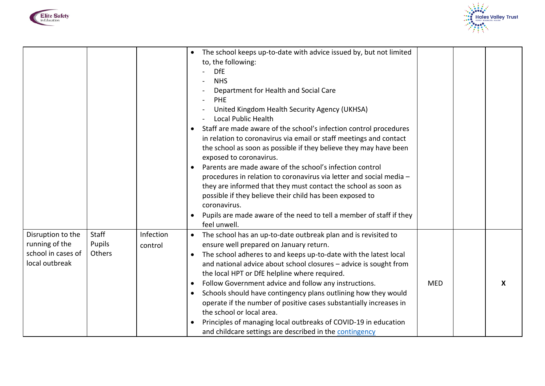



|                                                                             |                           |                      | The school keeps up-to-date with advice issued by, but not limited<br>$\bullet$<br>to, the following:<br><b>DfE</b><br><b>NHS</b><br>Department for Health and Social Care<br><b>PHE</b><br>United Kingdom Health Security Agency (UKHSA)<br><b>Local Public Health</b><br>Staff are made aware of the school's infection control procedures<br>$\bullet$<br>in relation to coronavirus via email or staff meetings and contact<br>the school as soon as possible if they believe they may have been<br>exposed to coronavirus.<br>Parents are made aware of the school's infection control<br>procedures in relation to coronavirus via letter and social media -<br>they are informed that they must contact the school as soon as<br>possible if they believe their child has been exposed to<br>coronavirus.<br>Pupils are made aware of the need to tell a member of staff if they<br>feel unwell. |            |   |
|-----------------------------------------------------------------------------|---------------------------|----------------------|---------------------------------------------------------------------------------------------------------------------------------------------------------------------------------------------------------------------------------------------------------------------------------------------------------------------------------------------------------------------------------------------------------------------------------------------------------------------------------------------------------------------------------------------------------------------------------------------------------------------------------------------------------------------------------------------------------------------------------------------------------------------------------------------------------------------------------------------------------------------------------------------------------|------------|---|
| Disruption to the<br>running of the<br>school in cases of<br>local outbreak | Staff<br>Pupils<br>Others | Infection<br>control | The school has an up-to-date outbreak plan and is revisited to<br>$\bullet$<br>ensure well prepared on January return.<br>The school adheres to and keeps up-to-date with the latest local<br>$\bullet$<br>and national advice about school closures - advice is sought from<br>the local HPT or DfE helpline where required.<br>Follow Government advice and follow any instructions.<br>$\bullet$<br>Schools should have contingency plans outlining how they would<br>$\bullet$<br>operate if the number of positive cases substantially increases in<br>the school or local area.<br>Principles of managing local outbreaks of COVID-19 in education<br>and childcare settings are described in the contingency                                                                                                                                                                                     | <b>MED</b> | X |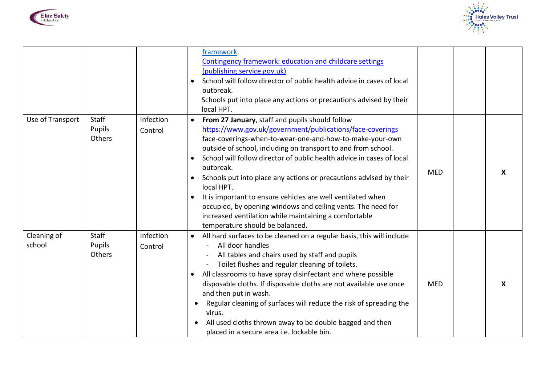



|                       |                                  |                      | framework.<br>Contingency framework: education and childcare settings<br>(publishing.service.gov.uk)<br>School will follow director of public health advice in cases of local<br>outbreak.<br>Schools put into place any actions or precautions advised by their<br>local HPT.                                                                                                                                                                                                                                                                                                                                                                              |            |   |
|-----------------------|----------------------------------|----------------------|-------------------------------------------------------------------------------------------------------------------------------------------------------------------------------------------------------------------------------------------------------------------------------------------------------------------------------------------------------------------------------------------------------------------------------------------------------------------------------------------------------------------------------------------------------------------------------------------------------------------------------------------------------------|------------|---|
| Use of Transport      | <b>Staff</b><br>Pupils<br>Others | Infection<br>Control | From 27 January, staff and pupils should follow<br>$\bullet$<br>https://www.gov.uk/government/publications/face-coverings<br>face-coverings-when-to-wear-one-and-how-to-make-your-own<br>outside of school, including on transport to and from school.<br>School will follow director of public health advice in cases of local<br>outbreak.<br>Schools put into place any actions or precautions advised by their<br>local HPT.<br>It is important to ensure vehicles are well ventilated when<br>occupied, by opening windows and ceiling vents. The need for<br>increased ventilation while maintaining a comfortable<br>temperature should be balanced. | <b>MED</b> | X |
| Cleaning of<br>school | <b>Staff</b><br>Pupils<br>Others | Infection<br>Control | All hard surfaces to be cleaned on a regular basis, this will include<br>All door handles<br>All tables and chairs used by staff and pupils<br>Toilet flushes and regular cleaning of toilets.<br>All classrooms to have spray disinfectant and where possible<br>disposable cloths. If disposable cloths are not available use once<br>and then put in wash.<br>Regular cleaning of surfaces will reduce the risk of spreading the<br>virus.<br>All used cloths thrown away to be double bagged and then<br>placed in a secure area i.e. lockable bin.                                                                                                     | <b>MED</b> | X |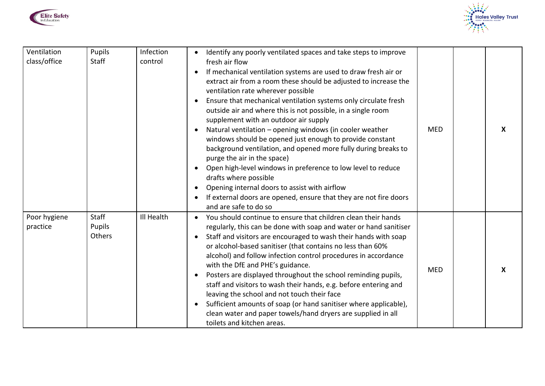



| Ventilation<br>class/office | Pupils<br><b>Staff</b>           | Infection<br>control | Identify any poorly ventilated spaces and take steps to improve<br>fresh air flow<br>If mechanical ventilation systems are used to draw fresh air or<br>extract air from a room these should be adjusted to increase the<br>ventilation rate wherever possible<br>Ensure that mechanical ventilation systems only circulate fresh<br>outside air and where this is not possible, in a single room<br>supplement with an outdoor air supply<br>Natural ventilation - opening windows (in cooler weather<br>windows should be opened just enough to provide constant<br>background ventilation, and opened more fully during breaks to<br>purge the air in the space)<br>Open high-level windows in preference to low level to reduce<br>drafts where possible<br>Opening internal doors to assist with airflow<br>$\bullet$<br>If external doors are opened, ensure that they are not fire doors<br>and are safe to do so | <b>MED</b> | X |
|-----------------------------|----------------------------------|----------------------|--------------------------------------------------------------------------------------------------------------------------------------------------------------------------------------------------------------------------------------------------------------------------------------------------------------------------------------------------------------------------------------------------------------------------------------------------------------------------------------------------------------------------------------------------------------------------------------------------------------------------------------------------------------------------------------------------------------------------------------------------------------------------------------------------------------------------------------------------------------------------------------------------------------------------|------------|---|
| Poor hygiene<br>practice    | <b>Staff</b><br>Pupils<br>Others | Ill Health           | You should continue to ensure that children clean their hands<br>regularly, this can be done with soap and water or hand sanitiser<br>Staff and visitors are encouraged to wash their hands with soap<br>$\bullet$<br>or alcohol-based sanitiser (that contains no less than 60%<br>alcohol) and follow infection control procedures in accordance<br>with the DfE and PHE's guidance.<br>Posters are displayed throughout the school reminding pupils,<br>staff and visitors to wash their hands, e.g. before entering and<br>leaving the school and not touch their face<br>Sufficient amounts of soap (or hand sanitiser where applicable),<br>$\bullet$<br>clean water and paper towels/hand dryers are supplied in all<br>toilets and kitchen areas.                                                                                                                                                                | <b>MED</b> | X |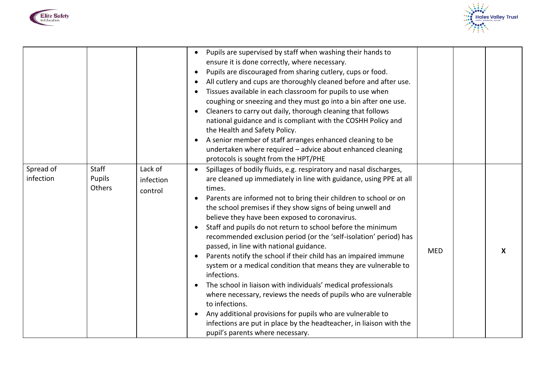



|                        |                                  |                                 | Pupils are supervised by staff when washing their hands to<br>ensure it is done correctly, where necessary.<br>Pupils are discouraged from sharing cutlery, cups or food.<br>$\bullet$<br>All cutlery and cups are thoroughly cleaned before and after use.<br>Tissues available in each classroom for pupils to use when<br>coughing or sneezing and they must go into a bin after one use.<br>Cleaners to carry out daily, thorough cleaning that follows<br>national guidance and is compliant with the COSHH Policy and<br>the Health and Safety Policy.<br>A senior member of staff arranges enhanced cleaning to be<br>undertaken where required - advice about enhanced cleaning<br>protocols is sought from the HPT/PHE                                                                                                                                                                                                                                                                           |            |   |
|------------------------|----------------------------------|---------------------------------|-----------------------------------------------------------------------------------------------------------------------------------------------------------------------------------------------------------------------------------------------------------------------------------------------------------------------------------------------------------------------------------------------------------------------------------------------------------------------------------------------------------------------------------------------------------------------------------------------------------------------------------------------------------------------------------------------------------------------------------------------------------------------------------------------------------------------------------------------------------------------------------------------------------------------------------------------------------------------------------------------------------|------------|---|
| Spread of<br>infection | <b>Staff</b><br>Pupils<br>Others | Lack of<br>infection<br>control | Spillages of bodily fluids, e.g. respiratory and nasal discharges,<br>are cleaned up immediately in line with guidance, using PPE at all<br>times.<br>Parents are informed not to bring their children to school or on<br>the school premises if they show signs of being unwell and<br>believe they have been exposed to coronavirus.<br>Staff and pupils do not return to school before the minimum<br>recommended exclusion period (or the 'self-isolation' period) has<br>passed, in line with national guidance.<br>Parents notify the school if their child has an impaired immune<br>system or a medical condition that means they are vulnerable to<br>infections.<br>The school in liaison with individuals' medical professionals<br>where necessary, reviews the needs of pupils who are vulnerable<br>to infections.<br>Any additional provisions for pupils who are vulnerable to<br>infections are put in place by the headteacher, in liaison with the<br>pupil's parents where necessary. | <b>MED</b> | X |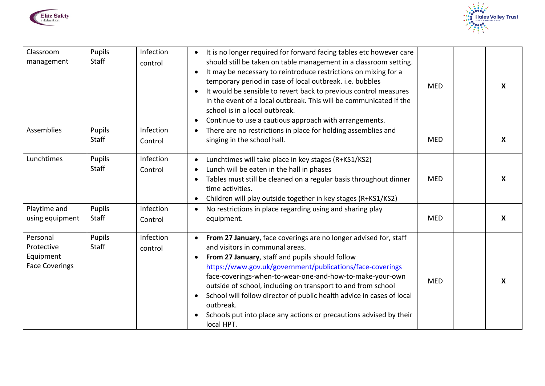



| Classroom<br>management                                      | Pupils<br><b>Staff</b> | Infection<br>control | It is no longer required for forward facing tables etc however care<br>should still be taken on table management in a classroom setting.<br>It may be necessary to reintroduce restrictions on mixing for a<br>temporary period in case of local outbreak. i.e. bubbles<br>It would be sensible to revert back to previous control measures<br>in the event of a local outbreak. This will be communicated if the<br>school is in a local outbreak.<br>Continue to use a cautious approach with arrangements.<br>$\bullet$             | <b>MED</b> | $\boldsymbol{X}$ |
|--------------------------------------------------------------|------------------------|----------------------|----------------------------------------------------------------------------------------------------------------------------------------------------------------------------------------------------------------------------------------------------------------------------------------------------------------------------------------------------------------------------------------------------------------------------------------------------------------------------------------------------------------------------------------|------------|------------------|
| Assemblies                                                   | Pupils<br>Staff        | Infection<br>Control | There are no restrictions in place for holding assemblies and<br>singing in the school hall.                                                                                                                                                                                                                                                                                                                                                                                                                                           | <b>MED</b> | $\boldsymbol{X}$ |
| Lunchtimes                                                   | Pupils<br><b>Staff</b> | Infection<br>Control | Lunchtimes will take place in key stages (R+KS1/KS2)<br>Lunch will be eaten in the hall in phases<br>Tables must still be cleaned on a regular basis throughout dinner<br>time activities.<br>Children will play outside together in key stages (R+KS1/KS2)                                                                                                                                                                                                                                                                            | <b>MED</b> | $\boldsymbol{X}$ |
| Playtime and<br>using equipment                              | Pupils<br><b>Staff</b> | Infection<br>Control | No restrictions in place regarding using and sharing play<br>equipment.                                                                                                                                                                                                                                                                                                                                                                                                                                                                | <b>MED</b> | $\boldsymbol{X}$ |
| Personal<br>Protective<br>Equipment<br><b>Face Coverings</b> | Pupils<br><b>Staff</b> | Infection<br>control | From 27 January, face coverings are no longer advised for, staff<br>and visitors in communal areas.<br>From 27 January, staff and pupils should follow<br>$\bullet$<br>https://www.gov.uk/government/publications/face-coverings<br>face-coverings-when-to-wear-one-and-how-to-make-your-own<br>outside of school, including on transport to and from school<br>School will follow director of public health advice in cases of local<br>outbreak.<br>Schools put into place any actions or precautions advised by their<br>local HPT. | <b>MED</b> | X                |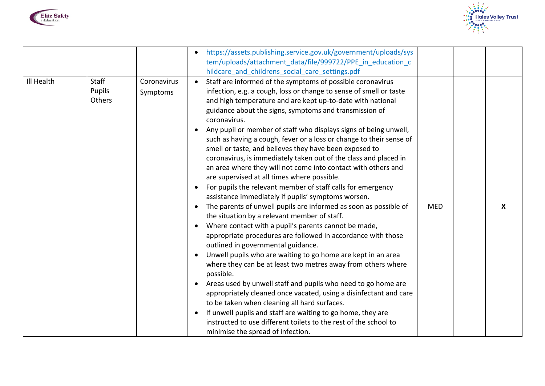



|            |                                  |                         | https://assets.publishing.service.gov.uk/government/uploads/sys<br>tem/uploads/attachment_data/file/999722/PPE_in_education_c<br>hildcare_and_childrens_social_care_settings.pdf                                                                                                                                                                                                                                                                                                                                                                                                                                                                                                                                                                                                                                                                                                                                                                                                                                                                                                                                                                                                                                                                                                                                                                                                                                                                                                                                                                                                    |            |   |
|------------|----------------------------------|-------------------------|-------------------------------------------------------------------------------------------------------------------------------------------------------------------------------------------------------------------------------------------------------------------------------------------------------------------------------------------------------------------------------------------------------------------------------------------------------------------------------------------------------------------------------------------------------------------------------------------------------------------------------------------------------------------------------------------------------------------------------------------------------------------------------------------------------------------------------------------------------------------------------------------------------------------------------------------------------------------------------------------------------------------------------------------------------------------------------------------------------------------------------------------------------------------------------------------------------------------------------------------------------------------------------------------------------------------------------------------------------------------------------------------------------------------------------------------------------------------------------------------------------------------------------------------------------------------------------------|------------|---|
| Ill Health | <b>Staff</b><br>Pupils<br>Others | Coronavirus<br>Symptoms | Staff are informed of the symptoms of possible coronavirus<br>infection, e.g. a cough, loss or change to sense of smell or taste<br>and high temperature and are kept up-to-date with national<br>guidance about the signs, symptoms and transmission of<br>coronavirus.<br>Any pupil or member of staff who displays signs of being unwell,<br>such as having a cough, fever or a loss or change to their sense of<br>smell or taste, and believes they have been exposed to<br>coronavirus, is immediately taken out of the class and placed in<br>an area where they will not come into contact with others and<br>are supervised at all times where possible.<br>For pupils the relevant member of staff calls for emergency<br>assistance immediately if pupils' symptoms worsen.<br>The parents of unwell pupils are informed as soon as possible of<br>the situation by a relevant member of staff.<br>Where contact with a pupil's parents cannot be made,<br>appropriate procedures are followed in accordance with those<br>outlined in governmental guidance.<br>Unwell pupils who are waiting to go home are kept in an area<br>where they can be at least two metres away from others where<br>possible.<br>Areas used by unwell staff and pupils who need to go home are<br>appropriately cleaned once vacated, using a disinfectant and care<br>to be taken when cleaning all hard surfaces.<br>If unwell pupils and staff are waiting to go home, they are<br>instructed to use different toilets to the rest of the school to<br>minimise the spread of infection. | <b>MED</b> | X |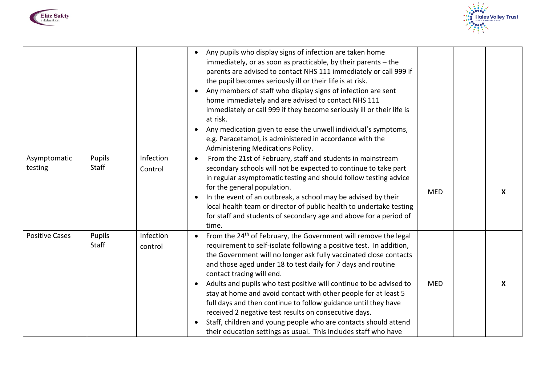



|                         |                        |                      | Any pupils who display signs of infection are taken home<br>immediately, or as soon as practicable, by their parents - the<br>parents are advised to contact NHS 111 immediately or call 999 if<br>the pupil becomes seriously ill or their life is at risk.<br>Any members of staff who display signs of infection are sent<br>home immediately and are advised to contact NHS 111<br>immediately or call 999 if they become seriously ill or their life is<br>at risk.<br>Any medication given to ease the unwell individual's symptoms,<br>e.g. Paracetamol, is administered in accordance with the<br>Administering Medications Policy.                                                                                    |            |                  |
|-------------------------|------------------------|----------------------|--------------------------------------------------------------------------------------------------------------------------------------------------------------------------------------------------------------------------------------------------------------------------------------------------------------------------------------------------------------------------------------------------------------------------------------------------------------------------------------------------------------------------------------------------------------------------------------------------------------------------------------------------------------------------------------------------------------------------------|------------|------------------|
| Asymptomatic<br>testing | Pupils<br><b>Staff</b> | Infection<br>Control | From the 21st of February, staff and students in mainstream<br>secondary schools will not be expected to continue to take part<br>in regular asymptomatic testing and should follow testing advice<br>for the general population.<br>In the event of an outbreak, a school may be advised by their<br>local health team or director of public health to undertake testing<br>for staff and students of secondary age and above for a period of<br>time.                                                                                                                                                                                                                                                                        | <b>MED</b> | $\boldsymbol{X}$ |
| <b>Positive Cases</b>   | Pupils<br>Staff        | Infection<br>control | From the 24 <sup>th</sup> of February, the Government will remove the legal<br>requirement to self-isolate following a positive test. In addition,<br>the Government will no longer ask fully vaccinated close contacts<br>and those aged under 18 to test daily for 7 days and routine<br>contact tracing will end.<br>Adults and pupils who test positive will continue to be advised to<br>stay at home and avoid contact with other people for at least 5<br>full days and then continue to follow guidance until they have<br>received 2 negative test results on consecutive days.<br>Staff, children and young people who are contacts should attend<br>their education settings as usual. This includes staff who have | <b>MED</b> | $\boldsymbol{X}$ |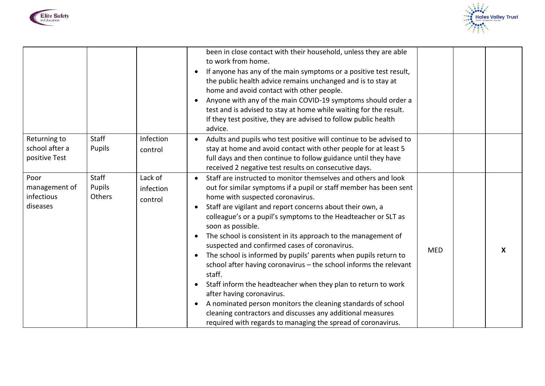



|                                                 |                           |                                 | been in close contact with their household, unless they are able<br>to work from home.<br>If anyone has any of the main symptoms or a positive test result,<br>the public health advice remains unchanged and is to stay at<br>home and avoid contact with other people.<br>Anyone with any of the main COVID-19 symptoms should order a<br>test and is advised to stay at home while waiting for the result.<br>If they test positive, they are advised to follow public health<br>advice.                                                                                                                                                                                                                                                                                                                                                                                                                                        |            |   |
|-------------------------------------------------|---------------------------|---------------------------------|------------------------------------------------------------------------------------------------------------------------------------------------------------------------------------------------------------------------------------------------------------------------------------------------------------------------------------------------------------------------------------------------------------------------------------------------------------------------------------------------------------------------------------------------------------------------------------------------------------------------------------------------------------------------------------------------------------------------------------------------------------------------------------------------------------------------------------------------------------------------------------------------------------------------------------|------------|---|
| Returning to<br>school after a<br>positive Test | <b>Staff</b><br>Pupils    | Infection<br>control            | Adults and pupils who test positive will continue to be advised to<br>stay at home and avoid contact with other people for at least 5<br>full days and then continue to follow guidance until they have<br>received 2 negative test results on consecutive days.                                                                                                                                                                                                                                                                                                                                                                                                                                                                                                                                                                                                                                                                   |            |   |
| Poor<br>management of<br>infectious<br>diseases | Staff<br>Pupils<br>Others | Lack of<br>infection<br>control | Staff are instructed to monitor themselves and others and look<br>out for similar symptoms if a pupil or staff member has been sent<br>home with suspected coronavirus.<br>Staff are vigilant and report concerns about their own, a<br>colleague's or a pupil's symptoms to the Headteacher or SLT as<br>soon as possible.<br>The school is consistent in its approach to the management of<br>$\bullet$<br>suspected and confirmed cases of coronavirus.<br>The school is informed by pupils' parents when pupils return to<br>$\bullet$<br>school after having coronavirus - the school informs the relevant<br>staff.<br>Staff inform the headteacher when they plan to return to work<br>after having coronavirus.<br>A nominated person monitors the cleaning standards of school<br>$\bullet$<br>cleaning contractors and discusses any additional measures<br>required with regards to managing the spread of coronavirus. | <b>MED</b> | X |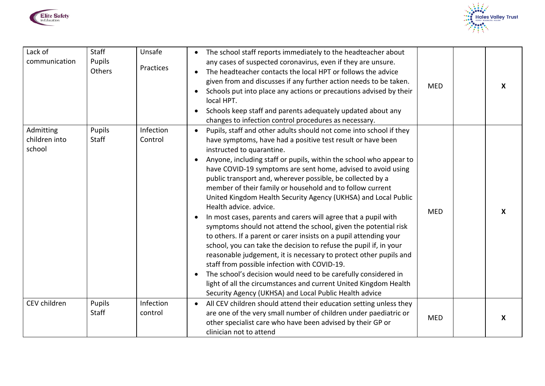



| Lack of<br>communication             | Staff<br>Pupils<br>Others | Unsafe<br>Practices  | The school staff reports immediately to the headteacher about<br>any cases of suspected coronavirus, even if they are unsure.<br>The headteacher contacts the local HPT or follows the advice<br>given from and discusses if any further action needs to be taken.<br>Schools put into place any actions or precautions advised by their<br>local HPT.<br>Schools keep staff and parents adequately updated about any<br>changes to infection control procedures as necessary.                                                                                                                                                                                                                                                                                                                                                                                                                                                                                                                                                                                                                                                               | <b>MED</b> | X |
|--------------------------------------|---------------------------|----------------------|----------------------------------------------------------------------------------------------------------------------------------------------------------------------------------------------------------------------------------------------------------------------------------------------------------------------------------------------------------------------------------------------------------------------------------------------------------------------------------------------------------------------------------------------------------------------------------------------------------------------------------------------------------------------------------------------------------------------------------------------------------------------------------------------------------------------------------------------------------------------------------------------------------------------------------------------------------------------------------------------------------------------------------------------------------------------------------------------------------------------------------------------|------------|---|
| Admitting<br>children into<br>school | Pupils<br>Staff           | Infection<br>Control | Pupils, staff and other adults should not come into school if they<br>$\bullet$<br>have symptoms, have had a positive test result or have been<br>instructed to quarantine.<br>Anyone, including staff or pupils, within the school who appear to<br>have COVID-19 symptoms are sent home, advised to avoid using<br>public transport and, wherever possible, be collected by a<br>member of their family or household and to follow current<br>United Kingdom Health Security Agency (UKHSA) and Local Public<br>Health advice. advice.<br>In most cases, parents and carers will agree that a pupil with<br>symptoms should not attend the school, given the potential risk<br>to others. If a parent or carer insists on a pupil attending your<br>school, you can take the decision to refuse the pupil if, in your<br>reasonable judgement, it is necessary to protect other pupils and<br>staff from possible infection with COVID-19.<br>The school's decision would need to be carefully considered in<br>light of all the circumstances and current United Kingdom Health<br>Security Agency (UKHSA) and Local Public Health advice | <b>MED</b> | X |
| CEV children                         | Pupils<br>Staff           | Infection<br>control | All CEV children should attend their education setting unless they<br>are one of the very small number of children under paediatric or<br>other specialist care who have been advised by their GP or<br>clinician not to attend                                                                                                                                                                                                                                                                                                                                                                                                                                                                                                                                                                                                                                                                                                                                                                                                                                                                                                              | <b>MED</b> | X |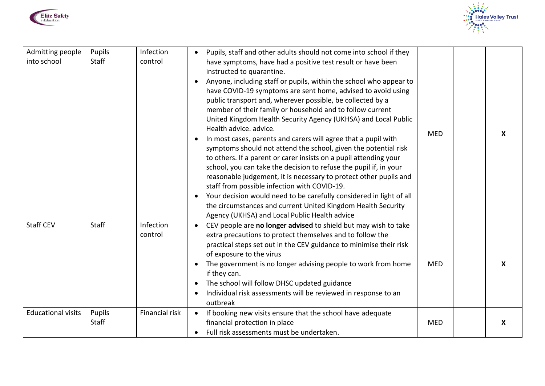



| Admitting people<br>into school | Pupils<br>Staff | Infection<br>control | Pupils, staff and other adults should not come into school if they<br>have symptoms, have had a positive test result or have been<br>instructed to quarantine.<br>Anyone, including staff or pupils, within the school who appear to<br>have COVID-19 symptoms are sent home, advised to avoid using<br>public transport and, wherever possible, be collected by a<br>member of their family or household and to follow current<br>United Kingdom Health Security Agency (UKHSA) and Local Public<br>Health advice, advice.<br>In most cases, parents and carers will agree that a pupil with<br>symptoms should not attend the school, given the potential risk<br>to others. If a parent or carer insists on a pupil attending your<br>school, you can take the decision to refuse the pupil if, in your<br>reasonable judgement, it is necessary to protect other pupils and<br>staff from possible infection with COVID-19.<br>Your decision would need to be carefully considered in light of all<br>the circumstances and current United Kingdom Health Security<br>Agency (UKHSA) and Local Public Health advice | <b>MED</b> | X |
|---------------------------------|-----------------|----------------------|-------------------------------------------------------------------------------------------------------------------------------------------------------------------------------------------------------------------------------------------------------------------------------------------------------------------------------------------------------------------------------------------------------------------------------------------------------------------------------------------------------------------------------------------------------------------------------------------------------------------------------------------------------------------------------------------------------------------------------------------------------------------------------------------------------------------------------------------------------------------------------------------------------------------------------------------------------------------------------------------------------------------------------------------------------------------------------------------------------------------------|------------|---|
| <b>Staff CEV</b>                | <b>Staff</b>    | Infection<br>control | CEV people are no longer advised to shield but may wish to take<br>extra precautions to protect themselves and to follow the<br>practical steps set out in the CEV guidance to minimise their risk<br>of exposure to the virus<br>The government is no longer advising people to work from home<br>if they can.<br>The school will follow DHSC updated guidance<br>Individual risk assessments will be reviewed in response to an<br>outbreak                                                                                                                                                                                                                                                                                                                                                                                                                                                                                                                                                                                                                                                                           | <b>MED</b> | X |
| <b>Educational visits</b>       | Pupils<br>Staff | Financial risk       | If booking new visits ensure that the school have adequate<br>financial protection in place<br>Full risk assessments must be undertaken.                                                                                                                                                                                                                                                                                                                                                                                                                                                                                                                                                                                                                                                                                                                                                                                                                                                                                                                                                                                | <b>MED</b> | X |